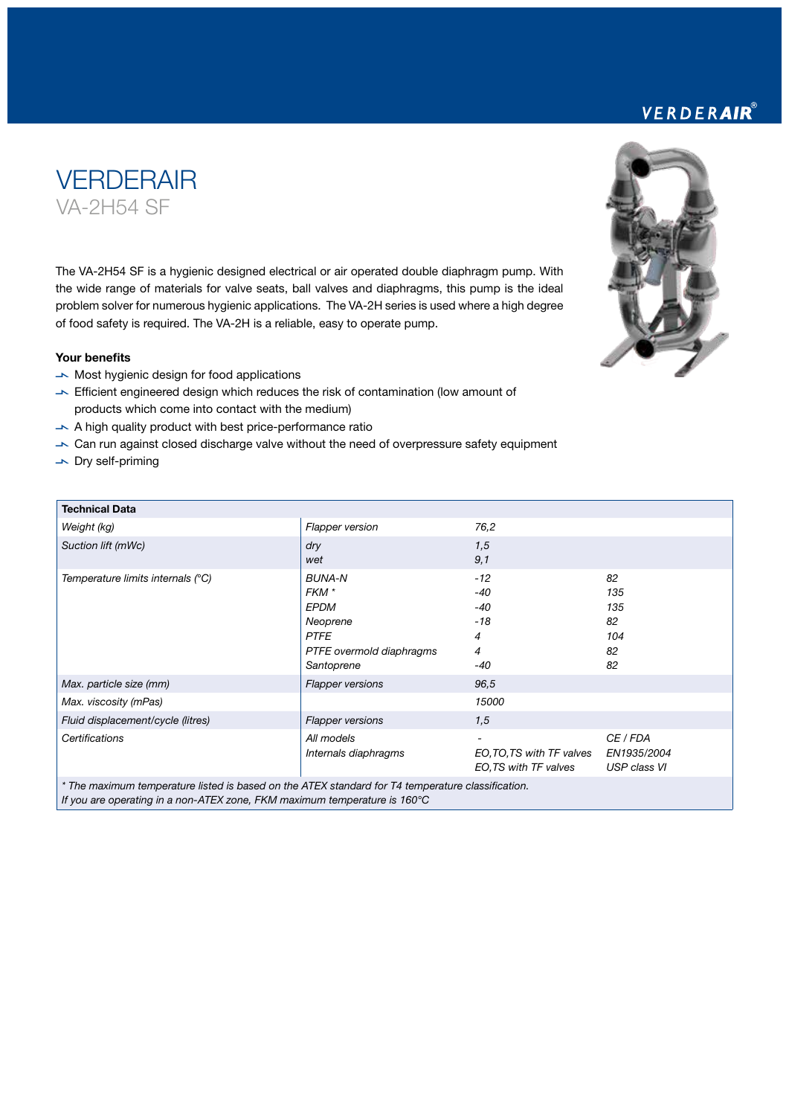# **VERDERAIR** VA-2H54 SF

The VA-2H54 SF is a hygienic designed electrical or air operated double diaphragm pump. With the wide range of materials for valve seats, ball valves and diaphragms, this pump is the ideal problem solver for numerous hygienic applications. The VA-2H series is used where a high degree of food safety is required. The VA-2H is a reliable, easy to operate pump.

### Your benefits

- $\rightarrow$  Most hygienic design for food applications
- $\blacktriangleright$  Efficient engineered design which reduces the risk of contamination (low amount of products which come into contact with the medium)
- $\blacktriangleright$  A high quality product with best price-performance ratio
- $\rightarrow$  Can run against closed discharge valve without the need of overpressure safety equipment
- $\overline{\phantom{a}}$  Dry self-priming

| <b>Technical Data</b>                                                                             |                                                                                                            |                                                   |                                           |
|---------------------------------------------------------------------------------------------------|------------------------------------------------------------------------------------------------------------|---------------------------------------------------|-------------------------------------------|
| Weight (kg)                                                                                       | <b>Flapper version</b>                                                                                     | 76,2                                              |                                           |
| Suction lift (mWc)                                                                                | dry<br>wet                                                                                                 | 1,5<br>9,1                                        |                                           |
| Temperature limits internals (°C)                                                                 | <b>BUNA-N</b><br>FKM *<br><b>EPDM</b><br>Neoprene<br><b>PTFE</b><br>PTFE overmold diaphragms<br>Santoprene | $-12$<br>-40<br>-40<br>-18<br>4<br>4<br>-40       | 82<br>135<br>135<br>82<br>104<br>82<br>82 |
| Max. particle size (mm)                                                                           | <b>Flapper versions</b>                                                                                    | 96,5                                              |                                           |
| Max. viscosity (mPas)                                                                             |                                                                                                            | 15000                                             |                                           |
| Fluid displacement/cycle (litres)                                                                 | <b>Flapper versions</b>                                                                                    | 1,5                                               |                                           |
| Certifications                                                                                    | All models<br>Internals diaphragms                                                                         | EO, TO, TS with TF valves<br>EO,TS with TF valves | CE / FDA<br>EN1935/2004<br>USP class VI   |
| * The maximum temperature listed is based on the ATEX standard for T4 temperature classification. |                                                                                                            |                                                   |                                           |

*If you are operating in a non-ATEX zone, FKM maximum temperature is 160°C*

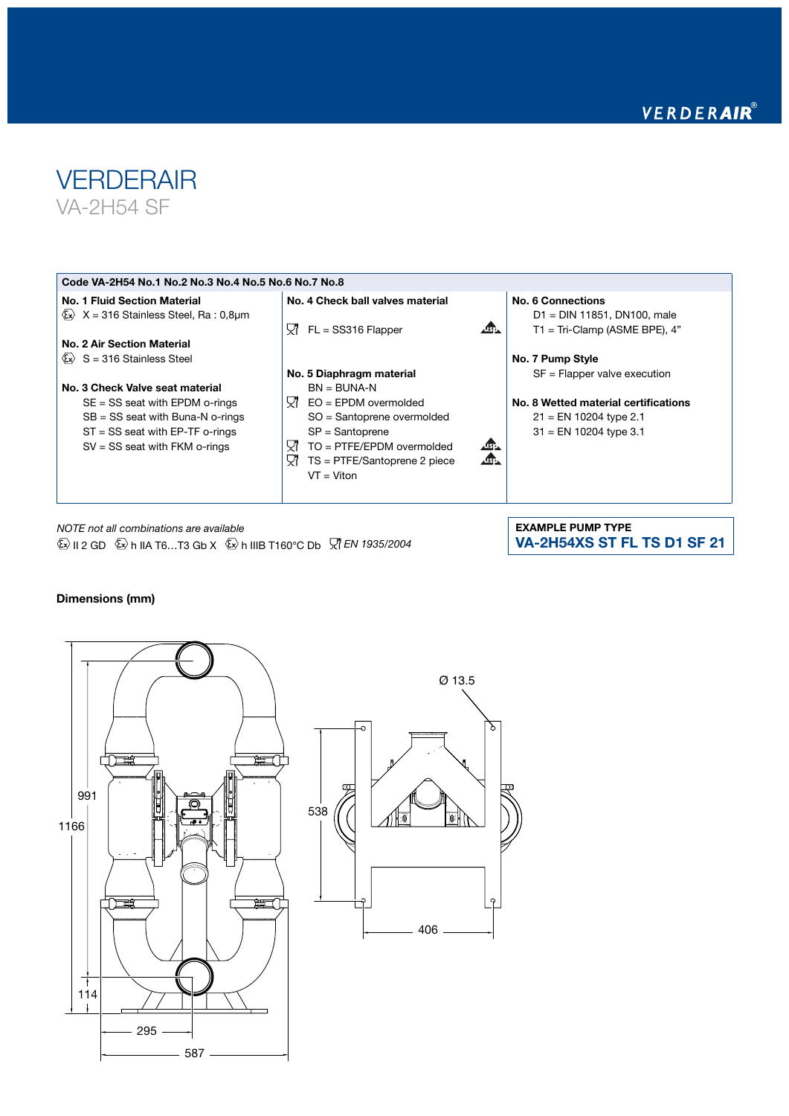

#### Code VA-2H54 No.1 No.2 No.3 No.4 No.5 No.6 No.7 No.8 No. 1 Fluid Section Material No. 4 Check ball valves material No. 6 Connections  $\overline{\text{Ex}}$  X = 316 Stainless Steel, Ra : 0,8µm D1 = DIN 11851, DN100, male  $\sqrt{2}$ 只 FL = SS316 Flapper T1 = Tri-Clamp (ASME BPE), 4" No. 2 Air Section Material  $\langle \mathbf{\overline{x}} \rangle$  S = 316 Stainless Steel No. 7 Pump Style No. 5 Diaphragm material SF = Flapper valve execution No. 3 Check Valve seat material  $BN = BUNA-N$ SE = SS seat with EPDM o-rings  $\nabla$  EO = EPDM overmolded No. 8 Wetted material certifications SB = SS seat with Buna-N o-rings SO = Santoprene overmolded 21 = EN 10204 type 2.1 ST = SS seat with EP-TF o-rings SP = Santoprene 31 = EN 10204 type 3.1 只 TO = PTFE/EPDM overmolded SV = SS seat with FKM o-rings  $\Delta$ AG.  $\nabla$  TS = PTFE/Santoprene 2 piece  $VT = Viton$

*NOTE not all combinations are available*   $\overline{\mathbb{Q}}$  II 2 GD  $\overline{\mathbb{Q}}$  h IIA T6...T3 Gb X  $\overline{\mathbb{Q}}$  h IIIB T160°C Db  $\overline{\mathbb{Z}}$  *EN 1935/2004*  EXAMPLE PUMP TYPE VA-2H54XS ST FL TS D1 SF 21

## Dimensions (mm)